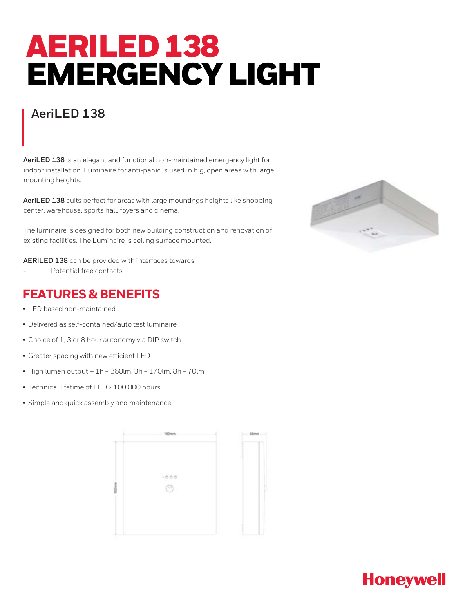## AERILED 138 EMERGENCY LIGHT

## **AeriLED 138**

**AeriLED 138** is an elegant and functional non-maintained emergency light for indoor installation. Luminaire for anti-panic is used in big, open areas with large mounting heights.

**AeriLED 138** suits perfect for areas with large mountings heights like shopping center, warehouse, sports hall, foyers and cinema.

The luminaire is designed for both new building construction and renovation of existing facilities. The Luminaire is ceiling surface mounted.

**AERILED 138** can be provided with interfaces towards

Potential free contacts

## **FEATURES & BENEFITS**

- LED based non-maintained
- Delivered as self-contained/auto test luminaire
- Choice of 1, 3 or 8 hour autonomy via DIP switch
- Greater spacing with new efficient LED
- $\bullet$  High lumen output 1h = 360lm, 3h = 170lm, 8h = 70lm
- Technical lifetime of LED > 100 000 hours
- Simple and quick assembly and maintenance